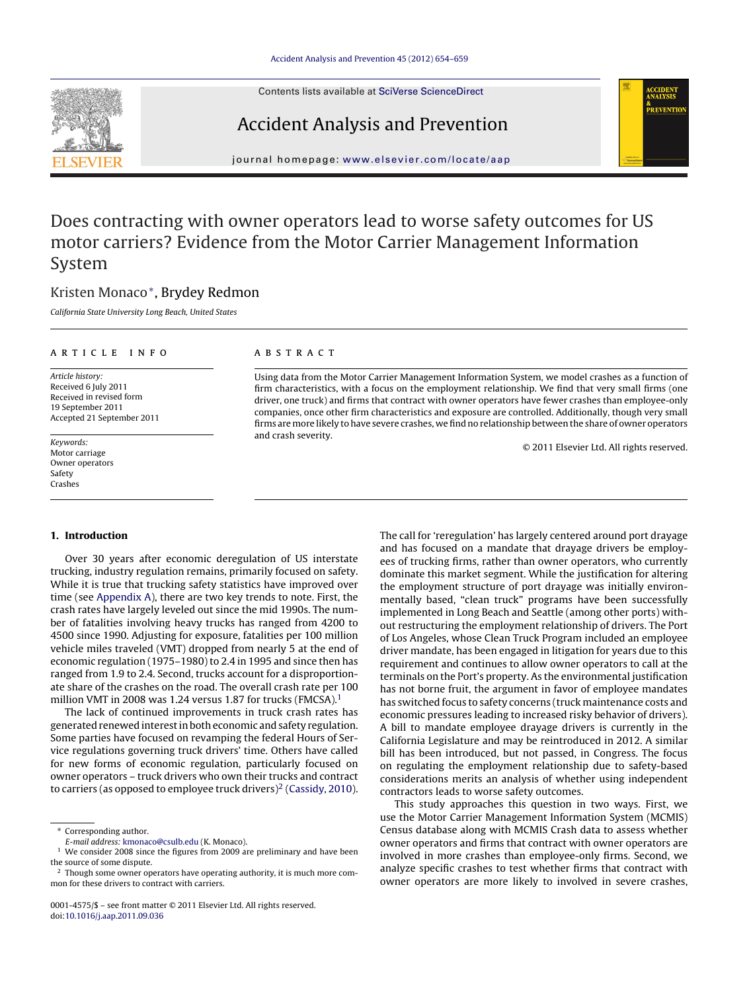Contents lists available at SciVerse [ScienceDirect](http://www.sciencedirect.com/science/journal/00014575)







iournal homepage: [www.elsevier.com/locate/aap](http://www.elsevier.com/locate/aap)

## Does contracting with owner operators lead to worse safety outcomes for US motor carriers? Evidence from the Motor Carrier Management Information System

### Kristen Monaco∗, Brydey Redmon

California State University Long Beach, United States

#### a r t i c l e i n f o

Article history: Received 6 July 2011 Received in revised form 19 September 2011 Accepted 21 September 2011

Keywords: Motor carriage Owner operators Safety Crashes

#### A B S T R A C T

Using data from the Motor Carrier Management Information System, we model crashes as a function of firm characteristics, with a focus on the employment relationship. We find that very small firms (one driver, one truck) and firms that contract with owner operators have fewer crashes than employee-only companies, once other firm characteristics and exposure are controlled. Additionally, though very small firms are more likely to have severe crashes, we find no relationship between the share of owner operators and crash severity.

© 2011 Elsevier Ltd. All rights reserved.

#### **1. Introduction**

Over 30 years after economic deregulation of US interstate trucking, industry regulation remains, primarily focused on safety. While it is true that trucking safety statistics have improved over time (see [Appendix](#page--1-0) [A\),](#page--1-0) there are two key trends to note. First, the crash rates have largely leveled out since the mid 1990s. The number of fatalities involving heavy trucks has ranged from 4200 to 4500 since 1990. Adjusting for exposure, fatalities per 100 million vehicle miles traveled (VMT) dropped from nearly 5 at the end of economic regulation (1975–1980) to 2.4 in 1995 and since then has ranged from 1.9 to 2.4. Second, trucks account for a disproportionate share of the crashes on the road. The overall crash rate per 100 million VMT in 2008 was 1.24 versus 1.87 for trucks (FMCSA).<sup>1</sup>

The lack of continued improvements in truck crash rates has generated renewed interestinbotheconomic and safety regulation. Some parties have focused on revamping the federal Hours of Service regulations governing truck drivers' time. Others have called for new forms of economic regulation, particularly focused on owner operators – truck drivers who own their trucks and contract to carriers (as opposed to employee truck drivers)<sup>2</sup> ([Cassidy,](#page--1-0) [2010\).](#page--1-0) The call for 'reregulation' has largely centered around port drayage and has focused on a mandate that drayage drivers be employees of trucking firms, rather than owner operators, who currently dominate this market segment. While the justification for altering the employment structure of port drayage was initially environmentally based, "clean truck" programs have been successfully implemented in Long Beach and Seattle (among other ports) without restructuring the employment relationship of drivers. The Port of Los Angeles, whose Clean Truck Program included an employee driver mandate, has been engaged in litigation for years due to this requirement and continues to allow owner operators to call at the terminals on the Port's property. As the environmental justification has not borne fruit, the argument in favor of employee mandates has switched focus to safety concerns (truck maintenance costs and economic pressures leading to increased risky behavior of drivers). A bill to mandate employee drayage drivers is currently in the California Legislature and may be reintroduced in 2012. A similar bill has been introduced, but not passed, in Congress. The focus on regulating the employment relationship due to safety-based considerations merits an analysis of whether using independent contractors leads to worse safety outcomes.

This study approaches this question in two ways. First, we use the Motor Carrier Management Information System (MCMIS) Census database along with MCMIS Crash data to assess whether owner operators and firms that contract with owner operators are involved in more crashes than employee-only firms. Second, we analyze specific crashes to test whether firms that contract with owner operators are more likely to involved in severe crashes,

<sup>∗</sup> Corresponding author.

E-mail address: [kmonaco@csulb.edu](mailto:kmonaco@csulb.edu) (K. Monaco).

<sup>&</sup>lt;sup>1</sup> We consider 2008 since the figures from 2009 are preliminary and have been the source of some dispute.

<sup>&</sup>lt;sup>2</sup> Though some owner operators have operating authority, it is much more common for these drivers to contract with carriers.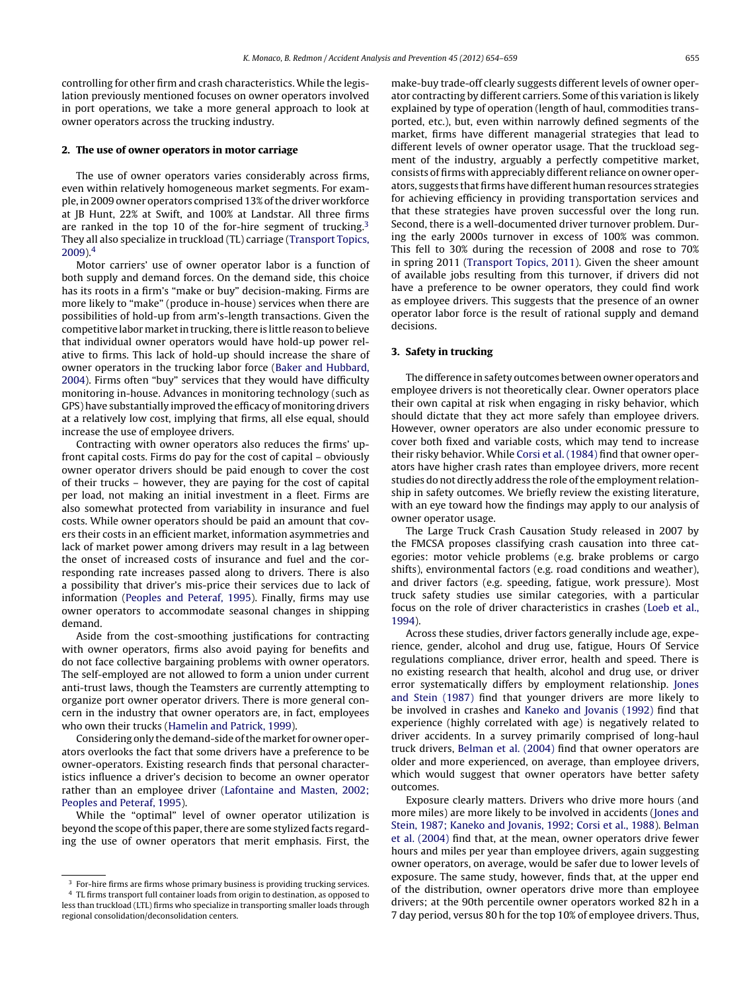controlling for other firm and crash characteristics. While the legislation previously mentioned focuses on owner operators involved in port operations, we take a more general approach to look at owner operators across the trucking industry.

#### **2. The use of owner operators in motor carriage**

The use of owner operators varies considerably across firms, even within relatively homogeneous market segments. For example, in 2009 owner operators comprised 13% of the driver workforce at JB Hunt, 22% at Swift, and 100% at Landstar. All three firms are ranked in the top 10 of the for-hire segment of trucking.<sup>3</sup> They all also specialize in truckload (TL) carriage [\(Transport](#page--1-0) [Topics,](#page--1-0) [2009\).](#page--1-0)4

Motor carriers' use of owner operator labor is a function of both supply and demand forces. On the demand side, this choice has its roots in a firm's "make or buy" decision-making. Firms are more likely to "make" (produce in-house) services when there are possibilities of hold-up from arm's-length transactions. Given the competitive labormarketintrucking,there is little reasonto believe that individual owner operators would have hold-up power relative to firms. This lack of hold-up should increase the share of owner operators in the trucking labor force ([Baker](#page--1-0) [and](#page--1-0) [Hubbard,](#page--1-0) [2004\).](#page--1-0) Firms often "buy" services that they would have difficulty monitoring in-house. Advances in monitoring technology (such as GPS) have substantially improved the efficacy of monitoring drivers at a relatively low cost, implying that firms, all else equal, should increase the use of employee drivers.

Contracting with owner operators also reduces the firms' upfront capital costs. Firms do pay for the cost of capital – obviously owner operator drivers should be paid enough to cover the cost of their trucks – however, they are paying for the cost of capital per load, not making an initial investment in a fleet. Firms are also somewhat protected from variability in insurance and fuel costs. While owner operators should be paid an amount that covers their costs in an efficient market, information asymmetries and lack of market power among drivers may result in a lag between the onset of increased costs of insurance and fuel and the corresponding rate increases passed along to drivers. There is also a possibility that driver's mis-price their services due to lack of information [\(Peoples](#page--1-0) [and](#page--1-0) [Peteraf,](#page--1-0) [1995\).](#page--1-0) Finally, firms may use owner operators to accommodate seasonal changes in shipping demand.

Aside from the cost-smoothing justifications for contracting with owner operators, firms also avoid paying for benefits and do not face collective bargaining problems with owner operators. The self-employed are not allowed to form a union under current anti-trust laws, though the Teamsters are currently attempting to organize port owner operator drivers. There is more general concern in the industry that owner operators are, in fact, employees who own their trucks [\(Hamelin](#page--1-0) [and](#page--1-0) [Patrick,](#page--1-0) [1999\).](#page--1-0)

Considering only the demand-side of the market for owner operators overlooks the fact that some drivers have a preference to be owner-operators. Existing research finds that personal characteristics influence a driver's decision to become an owner operator rather than an employee driver [\(Lafontaine](#page--1-0) [and](#page--1-0) [Masten,](#page--1-0) [2002;](#page--1-0) [Peoples](#page--1-0) [and](#page--1-0) [Peteraf,](#page--1-0) [1995\).](#page--1-0)

While the "optimal" level of owner operator utilization is beyond the scope of this paper, there are some stylized facts regarding the use of owner operators that merit emphasis. First, the make-buy trade-off clearly suggests different levels of owner operator contracting by different carriers. Some of this variation is likely explained by type of operation (length of haul, commodities transported, etc.), but, even within narrowly defined segments of the market, firms have different managerial strategies that lead to different levels of owner operator usage. That the truckload segment of the industry, arguably a perfectly competitive market, consists of firms with appreciably different reliance on owner operators, suggests that firms have different human resources strategies for achieving efficiency in providing transportation services and that these strategies have proven successful over the long run. Second, there is a well-documented driver turnover problem. During the early 2000s turnover in excess of 100% was common. This fell to 30% during the recession of 2008 and rose to 70% in spring 2011 [\(Transport](#page--1-0) [Topics,](#page--1-0) [2011\).](#page--1-0) Given the sheer amount of available jobs resulting from this turnover, if drivers did not have a preference to be owner operators, they could find work as employee drivers. This suggests that the presence of an owner operator labor force is the result of rational supply and demand decisions.

#### **3. Safety in trucking**

The difference in safety outcomes between owner operators and employee drivers is not theoretically clear. Owner operators place their own capital at risk when engaging in risky behavior, which should dictate that they act more safely than employee drivers. However, owner operators are also under economic pressure to cover both fixed and variable costs, which may tend to increase their risky behavior. While [Corsi](#page--1-0) et [al.](#page--1-0) [\(1984\)](#page--1-0) find that owner operators have higher crash rates than employee drivers, more recent studies do not directly address the role of the employment relationship in safety outcomes. We briefly review the existing literature, with an eye toward how the findings may apply to our analysis of owner operator usage.

The Large Truck Crash Causation Study released in 2007 by the FMCSA proposes classifying crash causation into three categories: motor vehicle problems (e.g. brake problems or cargo shifts), environmental factors (e.g. road conditions and weather), and driver factors (e.g. speeding, fatigue, work pressure). Most truck safety studies use similar categories, with a particular focus on the role of driver characteristics in crashes ([Loeb](#page--1-0) et [al.,](#page--1-0) [1994\).](#page--1-0)

Across these studies, driver factors generally include age, experience, gender, alcohol and drug use, fatigue, Hours Of Service regulations compliance, driver error, health and speed. There is no existing research that health, alcohol and drug use, or driver error systematically differs by employment relationship. [Jones](#page--1-0) [and](#page--1-0) [Stein](#page--1-0) [\(1987\)](#page--1-0) find that younger drivers are more likely to be involved in crashes and [Kaneko](#page--1-0) [and](#page--1-0) [Jovanis](#page--1-0) [\(1992\)](#page--1-0) find that experience (highly correlated with age) is negatively related to driver accidents. In a survey primarily comprised of long-haul truck drivers, [Belman](#page--1-0) et [al.](#page--1-0) [\(2004\)](#page--1-0) find that owner operators are older and more experienced, on average, than employee drivers, which would suggest that owner operators have better safety outcomes.

Exposure clearly matters. Drivers who drive more hours (and more miles) are more likely to be involved in accidents [\(Jones](#page--1-0) [and](#page--1-0) [Stein,](#page--1-0) [1987;](#page--1-0) [Kaneko](#page--1-0) [and](#page--1-0) [Jovanis,](#page--1-0) [1992;](#page--1-0) [Corsi](#page--1-0) et [al.,](#page--1-0) [1988\).](#page--1-0) [Belman](#page--1-0) et [al.](#page--1-0) [\(2004\)](#page--1-0) find that, at the mean, owner operators drive fewer hours and miles per year than employee drivers, again suggesting owner operators, on average, would be safer due to lower levels of exposure. The same study, however, finds that, at the upper end of the distribution, owner operators drive more than employee drivers; at the 90th percentile owner operators worked 82 h in a 7 day period, versus 80 h for the top 10% of employee drivers. Thus,

<sup>&</sup>lt;sup>3</sup> For-hire firms are firms whose primary business is providing trucking services. <sup>4</sup> TL firms transport full container loads from origin to destination, as opposed to less than truckload (LTL) firms who specialize in transporting smaller loads through regional consolidation/deconsolidation centers.